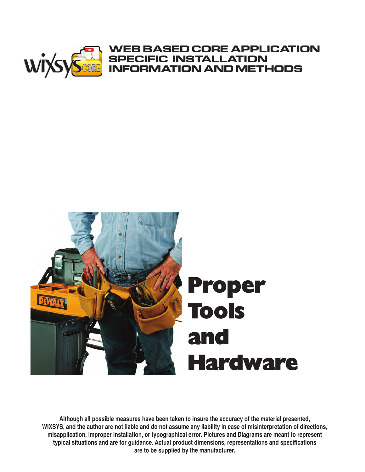

# **Proper Tools and Hardware**

**Although all possible measures have been taken to insure the accuracy of the material presented, WIXSYS, and the author are not liable and do not assume any liability in case of misinterpretation of directions, misapplication, improper installation, or typographical error. Pictures and Diagrams are meant to represent typical situations and are for guidance. Actual product dimensions, representations and specifications are to be supplied by the manufacturer.**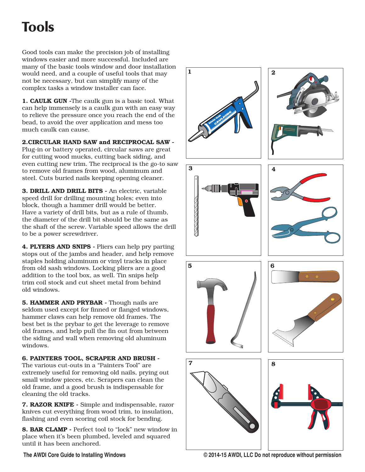## Tools

Good tools can make the precision job of installing windows easier and more successful. Included are many of the basic tools window and door installation would need, and a couple of useful tools that may not be necessary, but can simplify many of the complex tasks a window installer can face.

**1. CAULK GUN -**The caulk gun is a basic tool. What can help immensely is a caulk gun with an easy way to relieve the pressure once you reach the end of the bead, to avoid the over application and mess too much caulk can cause.

**2.CIRCULAR HAND SAW and RECIPROCAL SAW -**

Plug-in or battery operated, circular saws are great for cutting wood mucks, cutting back siding, and even cutting new trim. The reciprocal is the go-to saw to remove old frames from wood, aluminum and steel. Cuts buried nails keeping opening cleaner.

**3. DRILL AND DRILL BITS -** An electric, variable speed drill for drilling mounting holes; even into block, though a hammer drill would be better. Have a variety of drill bits, but as a rule of thumb, the diameter of the drill bit should be the same as the shaft of the screw. Variable speed allows the drill to be a power screwdriver.

**4. PLYERS AND SNIPS -** Pliers can help pry parting stops out of the jambs and header, and help remove staples holding aluminum or vinyl tracks in place from old sash windows. Locking pliers are a good addition to the tool box, as well. Tin snips help trim coil stock and cut sheet metal from behind old windows.

**5. HAMMER AND PRYBAR -** Though nails are seldom used except for finned or flanged windows, hammer claws can help remove old frames. The best bet is the prybar to get the leverage to remove old frames, and help pull the fin out from between the siding and wall when removing old aluminum windows.

#### **6. PAINTERS TOOL, SCRAPER AND BRUSH -**

The various cut-outs in a "Painters Tool" are extremely useful for removing old nails, prying out small window pieces, etc. Scrapers can clean the old frame, and a good brush is indispensable for cleaning the old tracks.

**7. RAZOR KNIFE -** Simple and indispensable, razor knives cut everything from wood trim, to insulation, flashing and even scoring coil stock for bending.

**8. BAR CLAMP -** Perfect tool to "lock" new window in place when it's been plumbed, leveled and squared until it has been anchored.

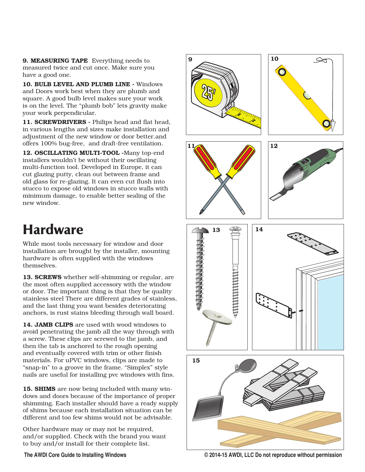**9. MEASURING TAPE** Everything needs to measured twice and cut once. Make sure you have a good one.

**10. BULB LEVEL AND PLUMB LINE -** Windows and Doors work best when they are plumb and square. A good bulb level makes sure your work is on the level. The "plumb bob" lets gravity make your work perpendicular.

**11. SCREWDRIVERS -** Philips head and flat head, in various lengths and sizes make installation and adjustment of the new window or door better.and offers 100% bug-free, and draft-free ventilation.

**12. OSCILLATING MULTI-TOOL -**Many top-end installers wouldn't be without their oscillating multi-function tool. Developed in Europe, it can cut glazing putty, clean out between frame and old glass for re-glazing. It can even cut flush into stucco to expose old windows in stucco walls with minimum damage, to enable better sealing of the new window.

## Hardware

While most tools necessary for window and door installation are brought by the installer, mounting hardware is often supplied with the windows themselves.

**13. SCREWS** whether self-shimming or regular, are the most often supplied accessory with the window or door. The important thing is that they be quality stainless steel There are different grades of stainless, and the last thing you want besides deteriorating anchors, is rust stains bleeding through wall board.

**14. JAMB CLIPS** are used with wood windows to avoid penetrating the jamb all the way through with a screw. These clips are screwed to the jamb, and then the tab is anchored to the rough opening and eventually covered with trim or other finish materials. For uPVC windows, clips are made to "snap-in" to a groove in the frame. "Simplex" style nails are useful for installing pvc windows with fins.

**15. SHIMS** are now being included with many windows and doors because of the importance of proper shimming. Each installer should have a ready supply of shims because each installation situation can be different and too few shims would not be advisable.

Other hardware may or may not be required, and/or supplied. Check with the brand you want to buy and/or install for their complete list.



**The AWDI Core Guide to Installing Windows © 2014-15 AWDI, LLC Do not reproduce without permission**